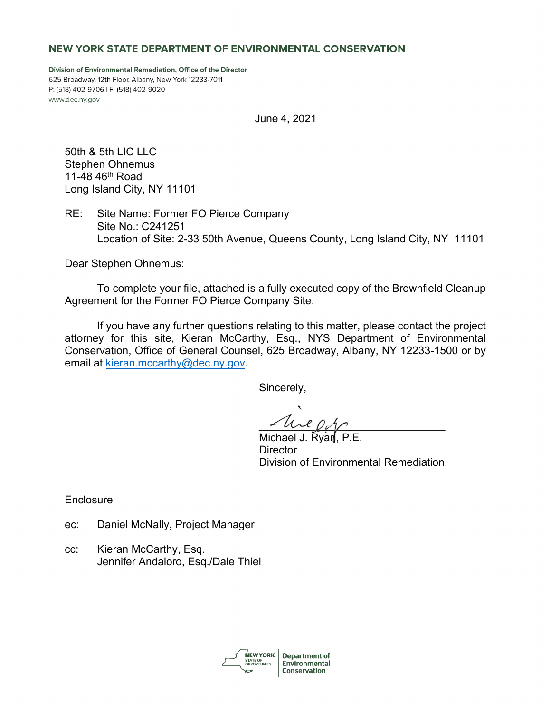# NEW YORK STATE DEPARTMENT OF ENVIRONMENTAL CONSERVATION

Division of Environmental Remediation, Office of the Director 625 Broadway, 12th Floor, Albany, New York 12233-7011 P: (518) 402-9706 | F: (518) 402-9020 www.dec.ny.gov

June 4, 2021

50th & 5th LIC LLC Stephen Ohnemus 11-48 46th Road Long Island City, NY 11101

RE: Site Name: Former FO Pierce Company Site No.: C241251 Location of Site: 2-33 50th Avenue, Queens County, Long Island City, NY 11101

Dear Stephen Ohnemus:

To complete your file, attached is a fully executed copy of the Brownfield Cleanup Agreement for the Former FO Pierce Company Site.

If you have any further questions relating to this matter, please contact the project attorney for this site, Kieran McCarthy, Esq., NYS Department of Environmental Conservation, Office of General Counsel, 625 Broadway, Albany, NY 12233-1500 or by email at [kieran.mccarthy@dec.ny.gov.](mailto:kieran.mccarthy@dec.ny.gov)

Sincerely,

 $z$  and  $\rho_{\gamma\gamma}$ 

Michael J. Ryan. **Director** Division of Environmental Remediation

**Enclosure** 

- ec: Daniel McNally, Project Manager
- cc: Kieran McCarthy, Esq. Jennifer Andaloro, Esq./Dale Thiel

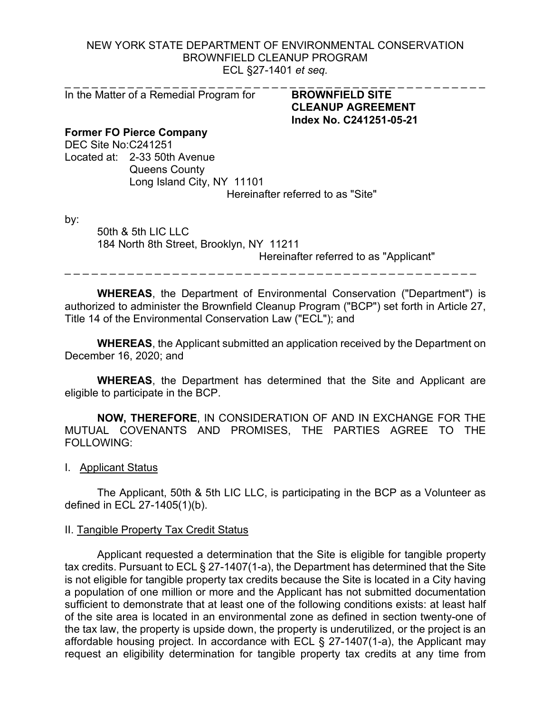# NEW YORK STATE DEPARTMENT OF ENVIRONMENTAL CONSERVATION BROWNFIELD CLEANUP PROGRAM ECL §27-1401 *et seq.*

In the Matter of a Remedial Program for **BROWNFIELD SITE** 

# \_ \_ \_ \_ \_ \_ \_ \_ \_ \_ \_ \_ \_ \_ \_ \_ \_ \_ \_ \_ \_ \_ \_ \_ \_ \_ \_ \_ \_ \_ \_ \_ \_ \_ \_ \_ \_ \_ \_ \_ \_ \_ \_ \_ \_ \_ \_ **CLEANUP AGREEMENT Index No. C241251-05-21**

# **Former FO Pierce Company**

DEC Site No:C241251 Located at: 2-33 50th Avenue Queens County Long Island City, NY 11101 Hereinafter referred to as "Site"

by:

50th & 5th LIC LLC 184 North 8th Street, Brooklyn, NY 11211 Hereinafter referred to as "Applicant"

\_ \_ \_ \_ \_ \_ \_ \_ \_ \_ \_ \_ \_ \_ \_ \_ \_ \_ \_ \_ \_ \_ \_ \_ \_ \_ \_ \_ \_ \_ \_ \_ \_ \_ \_ \_ \_ \_ \_ \_ \_ \_ \_ \_ \_ \_

**WHEREAS**, the Department of Environmental Conservation ("Department") is authorized to administer the Brownfield Cleanup Program ("BCP") set forth in Article 27, Title 14 of the Environmental Conservation Law ("ECL"); and

**WHEREAS**, the Applicant submitted an application received by the Department on December 16, 2020; and

**WHEREAS**, the Department has determined that the Site and Applicant are eligible to participate in the BCP.

**NOW, THEREFORE**, IN CONSIDERATION OF AND IN EXCHANGE FOR THE MUTUAL COVENANTS AND PROMISES, THE PARTIES AGREE TO THE FOLLOWING:

I. Applicant Status

The Applicant, 50th & 5th LIC LLC, is participating in the BCP as a Volunteer as defined in ECL 27-1405(1)(b).

## II. Tangible Property Tax Credit Status

Applicant requested a determination that the Site is eligible for tangible property tax credits. Pursuant to ECL § 27-1407(1-a), the Department has determined that the Site is not eligible for tangible property tax credits because the Site is located in a City having a population of one million or more and the Applicant has not submitted documentation sufficient to demonstrate that at least one of the following conditions exists: at least half of the site area is located in an environmental zone as defined in section twenty-one of the tax law, the property is upside down, the property is underutilized, or the project is an affordable housing project. In accordance with ECL § 27-1407(1-a), the Applicant may request an eligibility determination for tangible property tax credits at any time from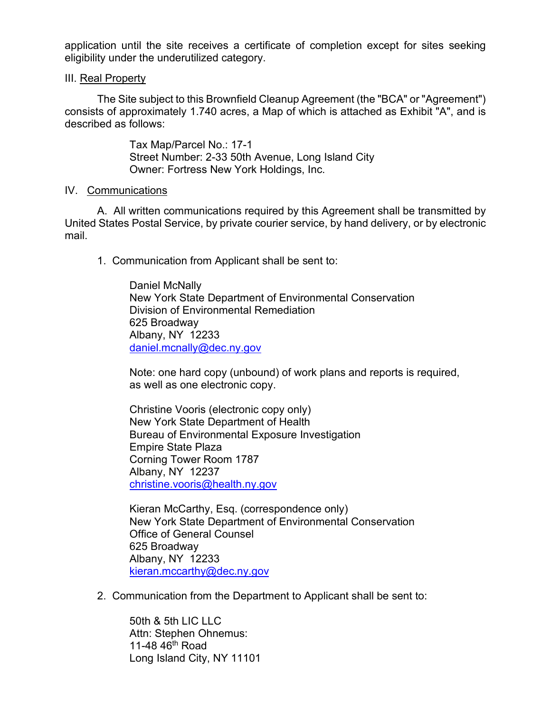application until the site receives a certificate of completion except for sites seeking eligibility under the underutilized category.

# III. Real Property

The Site subject to this Brownfield Cleanup Agreement (the "BCA" or "Agreement") consists of approximately 1.740 acres, a Map of which is attached as Exhibit "A", and is described as follows:

> Tax Map/Parcel No.: 17-1 Street Number: 2-33 50th Avenue, Long Island City Owner: Fortress New York Holdings, Inc.

## IV. Communications

A. All written communications required by this Agreement shall be transmitted by United States Postal Service, by private courier service, by hand delivery, or by electronic mail.

1. Communication from Applicant shall be sent to:

Daniel McNally New York State Department of Environmental Conservation Division of Environmental Remediation 625 Broadway Albany, NY 12233 [daniel.mcnally@dec.ny.gov](mailto:daniel.mcnally@dec.ny.gov)

Note: one hard copy (unbound) of work plans and reports is required, as well as one electronic copy.

Christine Vooris (electronic copy only) New York State Department of Health Bureau of Environmental Exposure Investigation Empire State Plaza Corning Tower Room 1787 Albany, NY 12237 [christine.vooris@health.ny.gov](mailto:christine.vooris@health.ny.gov)

Kieran McCarthy, Esq. (correspondence only) New York State Department of Environmental Conservation Office of General Counsel 625 Broadway Albany, NY 12233 [kieran.mccarthy@dec.ny.gov](mailto:kieran.mccarthy@dec.ny.gov)

2. Communication from the Department to Applicant shall be sent to:

50th & 5th LIC LLC Attn: Stephen Ohnemus: 11-48  $46<sup>th</sup>$  Road Long Island City, NY 11101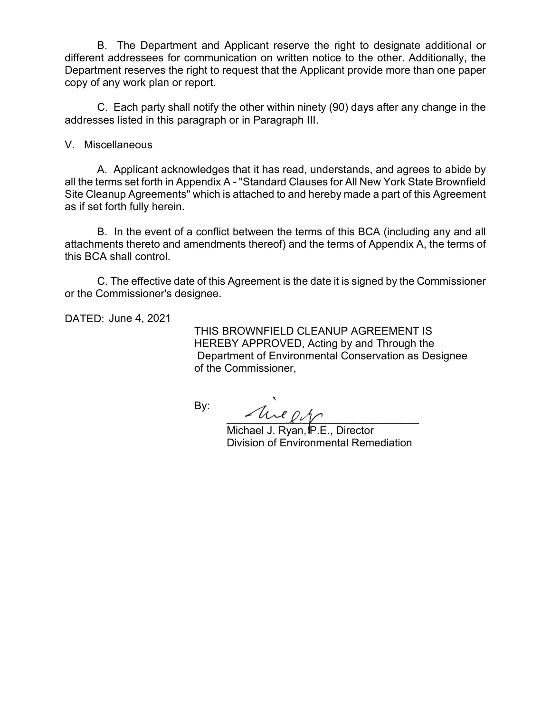B. The Department and Applicant reserve the right to designate additional or different addressees for communication on written notice to the other. Additionally, the Department reserves the right to request that the Applicant provide more than one paper copy of any work plan or report.

C. Each party shall notify the other within ninety (90) days after any change in the addresses listed in this paragraph or in Paragraph III.

# V. Miscellaneous

A. Applicant acknowledges that it has read, understands, and agrees to abide by all the terms set forth in Appendix A - "Standard Clauses for All New York State Brownfield Site Cleanup Agreements" which is attached to and hereby made a part of this Agreement as if set forth fully herein.

B. In the event of a conflict between the terms of this BCA (including any and all attachments thereto and amendments thereof) and the terms of Appendix A, the terms of this BCA shall control.

C. The effective date of this Agreement is the date it is signed by the Commissioner or the Commissioner's designee.

DATED: June 4, 2021

 THIS BROWNFIELD CLEANUP AGREEMENT IS HEREBY APPROVED, Acting by and Through the Department of Environmental Conservation as Designee of the Commissioner,

By:

 $u \circ \Lambda$ 

Michael J. Ryan, IP.E., Director Division of Environmental Remediation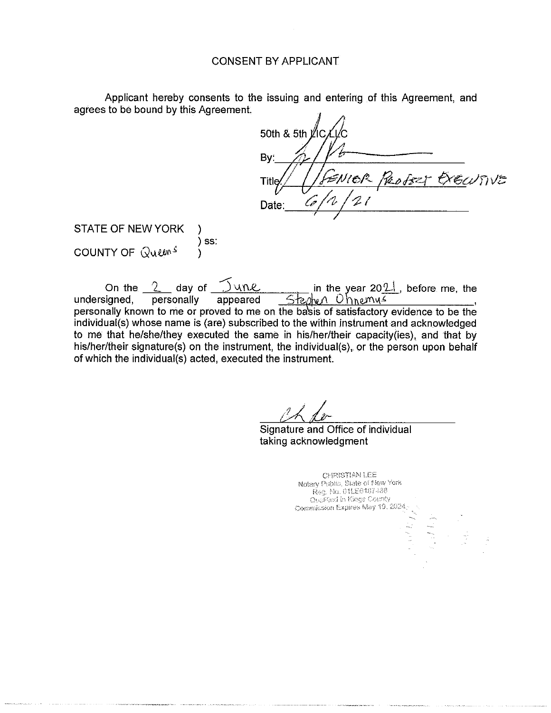## CONSENT BY APPLICANT

Applicant hereby consents to the issuing and entering of this Agreement, and agrees to be bound by this Agreement.

50th & 5th I  $By: \mathscr{A}/\mathscr{V}$ ,;::')11 *e~-* もひりいた  $40002$ Title Date :, \_\_ *c:;\_,,,,?--'-1\_,-1-/\_-1\_1 \_\_\_\_\_ \_ I* /

STATE OF NEW YORK COUNTY OF  $\mathbb{Q}$ ulms ) ) ss: )

 $\tilde{\phantom{a}}$ On the  $\frac{2}{\pi}$  day of  $\frac{1}{\pi}$  undersigned, personally appeared  $\frac{1}{\pi}$   $\frac{1}{\pi}$   $\frac{1}{\pi}$   $\frac{1}{\pi}$   $\frac{1}{\pi}$   $\frac{1}{\pi}$  appeared  $\frac{1}{\pi}$   $\frac{1}{\pi}$   $\frac{1}{\pi}$   $\frac{1}{\pi}$   $\frac{1}{\pi}$   $\frac{1}{\pi}$   $\frac{1}{\pi}$   $5$ teshen Ohnemus personally known to me or proved to me on the basis of satisfactory evidence to be the individual(s) whose name is (are) subscribed to the within instrument and acknowledged to me that he/she/they executed the same in his/her/their capacity(ies), and that by his/her/their signature(s) on the instrument, the individual(s), or the person upon behalf of which the individual(s) acted, executed the instrument.

Signature and Office of individual taking acknowledgment

CHRISTIAN LEE Notary Public, State of Hew York Reg. No. 01LE6167488  $\Omega$ <sub>he</sub>ilfied in Kings County Commission Expires May 19, 2024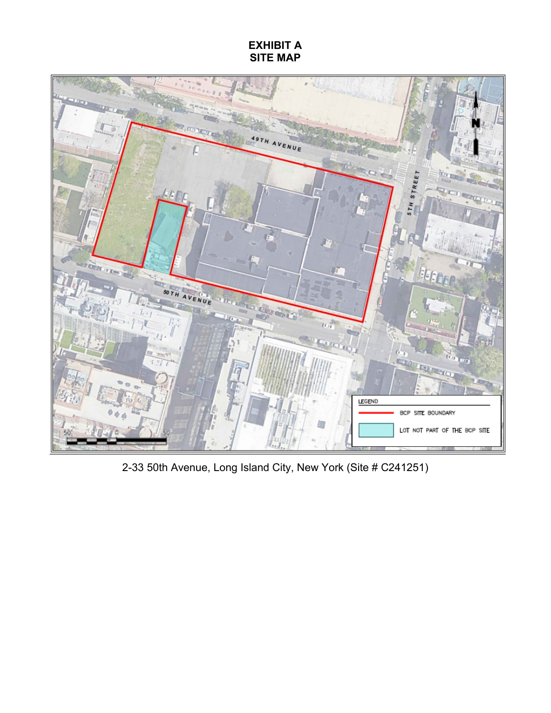# **EXHIBIT A SITE MAP**



2-33 50th Avenue, Long Island City, New York (Site # C241251)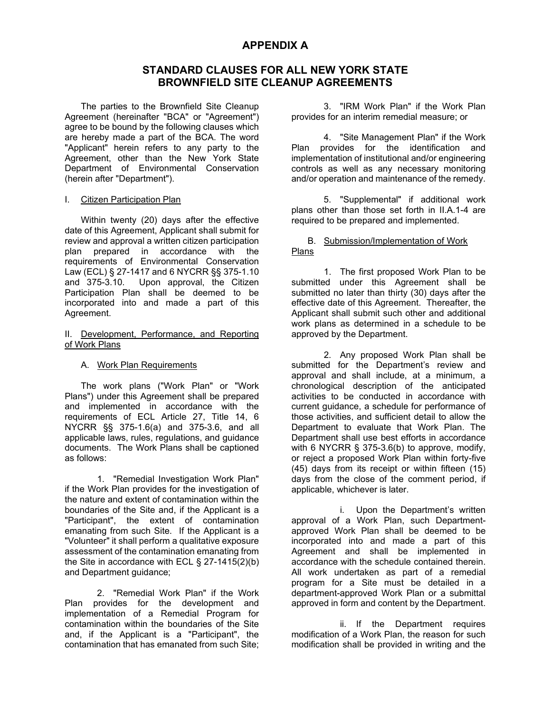# **APPENDIX A**

# **STANDARD CLAUSES FOR ALL NEW YORK STATE BROWNFIELD SITE CLEANUP AGREEMENTS**

The parties to the Brownfield Site Cleanup Agreement (hereinafter "BCA" or "Agreement") agree to be bound by the following clauses which are hereby made a part of the BCA. The word "Applicant" herein refers to any party to the Agreement, other than the New York State Department of Environmental Conservation (herein after "Department").

#### I. Citizen Participation Plan

Within twenty (20) days after the effective date of this Agreement, Applicant shall submit for review and approval a written citizen participation plan prepared in accordance with the requirements of Environmental Conservation Law (ECL) § 27-1417 and 6 NYCRR §§ 375-1.10 and 375-3.10. Upon approval, the Citizen Participation Plan shall be deemed to be incorporated into and made a part of this Agreement.

#### II. Development, Performance, and Reporting of Work Plans

#### A. Work Plan Requirements

The work plans ("Work Plan" or "Work Plans") under this Agreement shall be prepared and implemented in accordance with the requirements of ECL Article 27, Title 14, 6 NYCRR §§ 375-1.6(a) and 375-3.6, and all applicable laws, rules, regulations, and guidance documents. The Work Plans shall be captioned as follows:

1. "Remedial Investigation Work Plan" if the Work Plan provides for the investigation of the nature and extent of contamination within the boundaries of the Site and, if the Applicant is a "Participant", the extent of contamination emanating from such Site. If the Applicant is a "Volunteer" it shall perform a qualitative exposure assessment of the contamination emanating from the Site in accordance with ECL § 27-1415(2)(b) and Department guidance;

2. "Remedial Work Plan" if the Work Plan provides for the development and implementation of a Remedial Program for contamination within the boundaries of the Site and, if the Applicant is a "Participant", the contamination that has emanated from such Site;

3. "IRM Work Plan" if the Work Plan provides for an interim remedial measure; or

4. "Site Management Plan" if the Work Plan provides for the identification and implementation of institutional and/or engineering controls as well as any necessary monitoring and/or operation and maintenance of the remedy.

5. "Supplemental" if additional work plans other than those set forth in II.A.1-4 are required to be prepared and implemented.

### B. Submission/Implementation of Work Plans

1. The first proposed Work Plan to be submitted under this Agreement shall be submitted no later than thirty (30) days after the effective date of this Agreement. Thereafter, the Applicant shall submit such other and additional work plans as determined in a schedule to be approved by the Department.

2. Any proposed Work Plan shall be submitted for the Department's review and approval and shall include, at a minimum, a chronological description of the anticipated activities to be conducted in accordance with current guidance, a schedule for performance of those activities, and sufficient detail to allow the Department to evaluate that Work Plan. The Department shall use best efforts in accordance with 6 NYCRR § 375-3.6(b) to approve, modify, or reject a proposed Work Plan within forty-five (45) days from its receipt or within fifteen (15) days from the close of the comment period, if applicable, whichever is later.

i. Upon the Department's written approval of a Work Plan, such Departmentapproved Work Plan shall be deemed to be incorporated into and made a part of this Agreement and shall be implemented in accordance with the schedule contained therein. All work undertaken as part of a remedial program for a Site must be detailed in a department-approved Work Plan or a submittal approved in form and content by the Department.

ii. If the Department requires modification of a Work Plan, the reason for such modification shall be provided in writing and the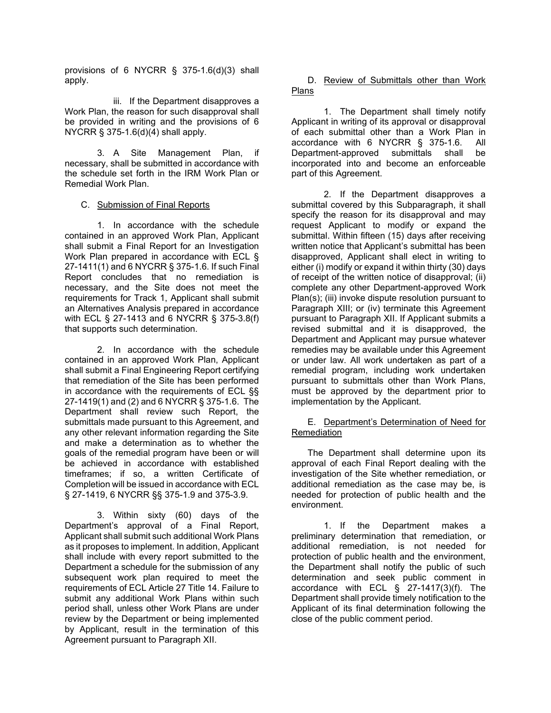provisions of 6 NYCRR § 375-1.6(d)(3) shall apply.

iii. If the Department disapproves a Work Plan, the reason for such disapproval shall be provided in writing and the provisions of 6 NYCRR § 375-1.6(d)(4) shall apply.

3. A Site Management Plan, if necessary, shall be submitted in accordance with the schedule set forth in the IRM Work Plan or Remedial Work Plan.

### C. Submission of Final Reports

1. In accordance with the schedule contained in an approved Work Plan, Applicant shall submit a Final Report for an Investigation Work Plan prepared in accordance with ECL § 27-1411(1) and 6 NYCRR § 375-1.6. If such Final Report concludes that no remediation is necessary, and the Site does not meet the requirements for Track 1, Applicant shall submit an Alternatives Analysis prepared in accordance with ECL § 27-1413 and 6 NYCRR § 375-3.8(f) that supports such determination.

2. In accordance with the schedule contained in an approved Work Plan, Applicant shall submit a Final Engineering Report certifying that remediation of the Site has been performed in accordance with the requirements of ECL §§ 27-1419(1) and (2) and 6 NYCRR § 375-1.6. The Department shall review such Report, the submittals made pursuant to this Agreement, and any other relevant information regarding the Site and make a determination as to whether the goals of the remedial program have been or will be achieved in accordance with established timeframes; if so, a written Certificate of Completion will be issued in accordance with ECL § 27-1419, 6 NYCRR §§ 375-1.9 and 375-3.9.

3. Within sixty (60) days of the Department's approval of a Final Report, Applicant shall submit such additional Work Plans as it proposes to implement. In addition, Applicant shall include with every report submitted to the Department a schedule for the submission of any subsequent work plan required to meet the requirements of ECL Article 27 Title 14. Failure to submit any additional Work Plans within such period shall, unless other Work Plans are under review by the Department or being implemented by Applicant, result in the termination of this Agreement pursuant to Paragraph XII.

### D. Review of Submittals other than Work Plans

1. The Department shall timely notify Applicant in writing of its approval or disapproval of each submittal other than a Work Plan in accordance with 6 NYCRR § 375-1.6. All Department-approved submittals incorporated into and become an enforceable part of this Agreement.

2. If the Department disapproves a submittal covered by this Subparagraph, it shall specify the reason for its disapproval and may request Applicant to modify or expand the submittal. Within fifteen (15) days after receiving written notice that Applicant's submittal has been disapproved, Applicant shall elect in writing to either (i) modify or expand it within thirty (30) days of receipt of the written notice of disapproval; (ii) complete any other Department-approved Work Plan(s); (iii) invoke dispute resolution pursuant to Paragraph XIII; or (iv) terminate this Agreement pursuant to Paragraph XII. If Applicant submits a revised submittal and it is disapproved, the Department and Applicant may pursue whatever remedies may be available under this Agreement or under law. All work undertaken as part of a remedial program, including work undertaken pursuant to submittals other than Work Plans, must be approved by the department prior to implementation by the Applicant.

### E. Department's Determination of Need for Remediation

The Department shall determine upon its approval of each Final Report dealing with the investigation of the Site whether remediation, or additional remediation as the case may be, is needed for protection of public health and the environment.

1. If the Department makes a preliminary determination that remediation, or additional remediation, is not needed for protection of public health and the environment, the Department shall notify the public of such determination and seek public comment in accordance with ECL § 27-1417(3)(f). The Department shall provide timely notification to the Applicant of its final determination following the close of the public comment period.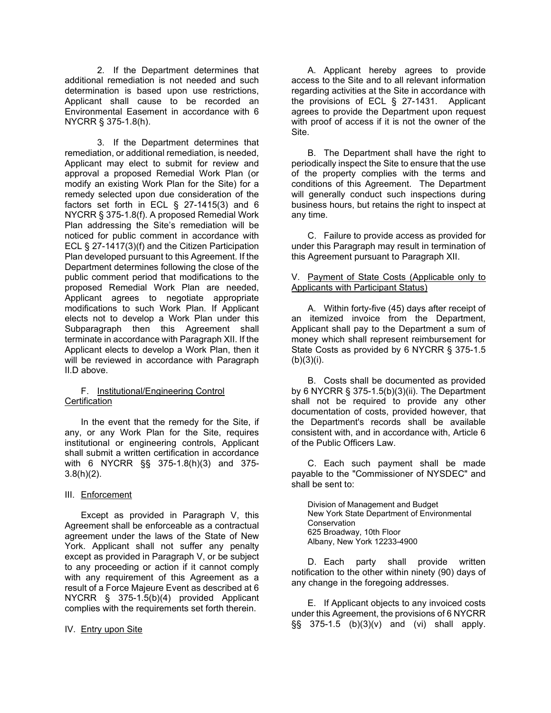2. If the Department determines that additional remediation is not needed and such determination is based upon use restrictions, Applicant shall cause to be recorded an Environmental Easement in accordance with 6 NYCRR § 375-1.8(h).

3. If the Department determines that remediation, or additional remediation, is needed, Applicant may elect to submit for review and approval a proposed Remedial Work Plan (or modify an existing Work Plan for the Site) for a remedy selected upon due consideration of the factors set forth in ECL  $\S$  27-1415(3) and 6 NYCRR § 375-1.8(f). A proposed Remedial Work Plan addressing the Site's remediation will be noticed for public comment in accordance with ECL § 27-1417(3)(f) and the Citizen Participation Plan developed pursuant to this Agreement. If the Department determines following the close of the public comment period that modifications to the proposed Remedial Work Plan are needed, Applicant agrees to negotiate appropriate modifications to such Work Plan. If Applicant elects not to develop a Work Plan under this Subparagraph then this Agreement shall terminate in accordance with Paragraph XII. If the Applicant elects to develop a Work Plan, then it will be reviewed in accordance with Paragraph II.D above.

### F. Institutional/Engineering Control **Certification**

In the event that the remedy for the Site, if any, or any Work Plan for the Site, requires institutional or engineering controls, Applicant shall submit a written certification in accordance with 6 NYCRR §§ 375-1.8(h)(3) and 375- 3.8(h)(2).

#### III. Enforcement

Except as provided in Paragraph V, this Agreement shall be enforceable as a contractual agreement under the laws of the State of New York. Applicant shall not suffer any penalty except as provided in Paragraph V, or be subject to any proceeding or action if it cannot comply with any requirement of this Agreement as a result of a Force Majeure Event as described at 6 NYCRR § 375-1.5(b)(4) provided Applicant complies with the requirements set forth therein.

#### IV. Entry upon Site

A. Applicant hereby agrees to provide access to the Site and to all relevant information regarding activities at the Site in accordance with the provisions of ECL § 27-1431. Applicant agrees to provide the Department upon request with proof of access if it is not the owner of the Site.

B. The Department shall have the right to periodically inspect the Site to ensure that the use of the property complies with the terms and conditions of this Agreement. The Department will generally conduct such inspections during business hours, but retains the right to inspect at any time.

C. Failure to provide access as provided for under this Paragraph may result in termination of this Agreement pursuant to Paragraph XII.

#### V. Payment of State Costs (Applicable only to Applicants with Participant Status)

A. Within forty-five (45) days after receipt of an itemized invoice from the Department, Applicant shall pay to the Department a sum of money which shall represent reimbursement for State Costs as provided by 6 NYCRR § 375-1.5  $(b)(3)(i).$ 

B. Costs shall be documented as provided by 6 NYCRR § 375-1.5(b)(3)(ii). The Department shall not be required to provide any other documentation of costs, provided however, that the Department's records shall be available consistent with, and in accordance with, Article 6 of the Public Officers Law.

C. Each such payment shall be made payable to the "Commissioner of NYSDEC" and shall be sent to:

Division of Management and Budget New York State Department of Environmental **Conservation** 625 Broadway, 10th Floor Albany, New York 12233-4900

D. Each party shall provide written notification to the other within ninety (90) days of any change in the foregoing addresses.

E. If Applicant objects to any invoiced costs under this Agreement, the provisions of 6 NYCRR §§ 375-1.5 (b)(3)(v) and (vi) shall apply.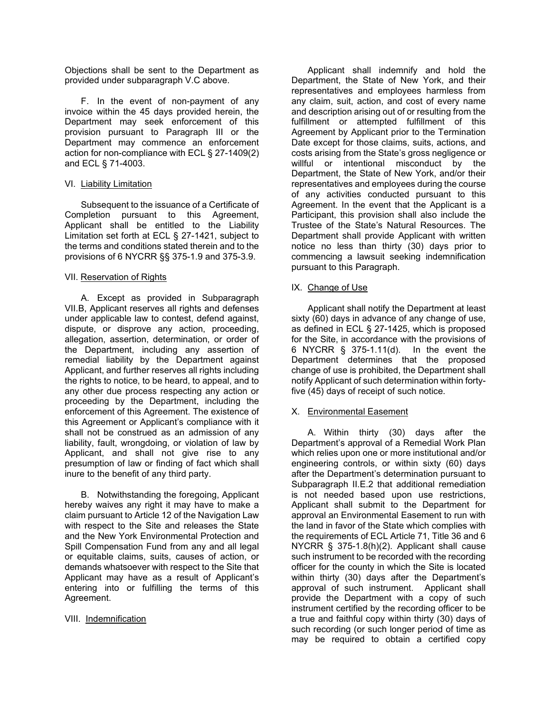Objections shall be sent to the Department as provided under subparagraph V.C above.

F. In the event of non-payment of any invoice within the 45 days provided herein, the Department may seek enforcement of this provision pursuant to Paragraph III or the Department may commence an enforcement action for non-compliance with ECL § 27-1409(2) and ECL § 71-4003.

### VI. Liability Limitation

Subsequent to the issuance of a Certificate of Completion pursuant to this Agreement, Applicant shall be entitled to the Liability Limitation set forth at ECL § 27-1421, subject to the terms and conditions stated therein and to the provisions of 6 NYCRR §§ 375-1.9 and 375-3.9.

### VII. Reservation of Rights

A. Except as provided in Subparagraph VII.B, Applicant reserves all rights and defenses under applicable law to contest, defend against, dispute, or disprove any action, proceeding, allegation, assertion, determination, or order of the Department, including any assertion of remedial liability by the Department against Applicant, and further reserves all rights including the rights to notice, to be heard, to appeal, and to any other due process respecting any action or proceeding by the Department, including the enforcement of this Agreement. The existence of this Agreement or Applicant's compliance with it shall not be construed as an admission of any liability, fault, wrongdoing, or violation of law by Applicant, and shall not give rise to any presumption of law or finding of fact which shall inure to the benefit of any third party.

B. Notwithstanding the foregoing, Applicant hereby waives any right it may have to make a claim pursuant to Article 12 of the Navigation Law with respect to the Site and releases the State and the New York Environmental Protection and Spill Compensation Fund from any and all legal or equitable claims, suits, causes of action, or demands whatsoever with respect to the Site that Applicant may have as a result of Applicant's entering into or fulfilling the terms of this Agreement.

### VIII. Indemnification

Applicant shall indemnify and hold the Department, the State of New York, and their representatives and employees harmless from any claim, suit, action, and cost of every name and description arising out of or resulting from the fulfillment or attempted fulfillment of this Agreement by Applicant prior to the Termination Date except for those claims, suits, actions, and costs arising from the State's gross negligence or willful or intentional misconduct by the Department, the State of New York, and/or their representatives and employees during the course of any activities conducted pursuant to this Agreement. In the event that the Applicant is a Participant, this provision shall also include the Trustee of the State's Natural Resources. The Department shall provide Applicant with written notice no less than thirty (30) days prior to commencing a lawsuit seeking indemnification pursuant to this Paragraph.

### IX. Change of Use

Applicant shall notify the Department at least sixty (60) days in advance of any change of use, as defined in ECL § 27-1425, which is proposed for the Site, in accordance with the provisions of 6 NYCRR § 375-1.11(d). In the event the Department determines that the proposed change of use is prohibited, the Department shall notify Applicant of such determination within fortyfive (45) days of receipt of such notice.

### X. Environmental Easement

A. Within thirty (30) days after the Department's approval of a Remedial Work Plan which relies upon one or more institutional and/or engineering controls, or within sixty (60) days after the Department's determination pursuant to Subparagraph II.E.2 that additional remediation is not needed based upon use restrictions, Applicant shall submit to the Department for approval an Environmental Easement to run with the land in favor of the State which complies with the requirements of ECL Article 71, Title 36 and 6 NYCRR § 375-1.8(h)(2). Applicant shall cause such instrument to be recorded with the recording officer for the county in which the Site is located within thirty (30) days after the Department's approval of such instrument. Applicant shall provide the Department with a copy of such instrument certified by the recording officer to be a true and faithful copy within thirty (30) days of such recording (or such longer period of time as may be required to obtain a certified copy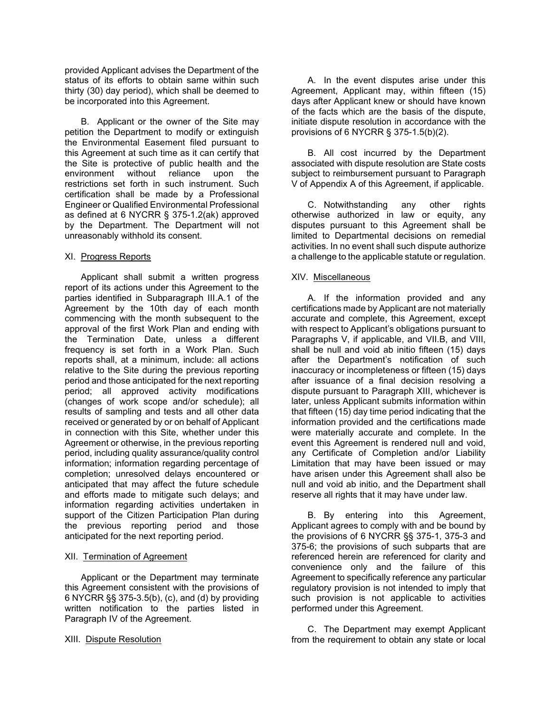provided Applicant advises the Department of the status of its efforts to obtain same within such thirty (30) day period), which shall be deemed to be incorporated into this Agreement.

B. Applicant or the owner of the Site may petition the Department to modify or extinguish the Environmental Easement filed pursuant to this Agreement at such time as it can certify that the Site is protective of public health and the environment without reliance upon the restrictions set forth in such instrument. Such certification shall be made by a Professional Engineer or Qualified Environmental Professional as defined at 6 NYCRR § 375-1.2(ak) approved by the Department. The Department will not unreasonably withhold its consent.

#### XI. Progress Reports

Applicant shall submit a written progress report of its actions under this Agreement to the parties identified in Subparagraph III.A.1 of the Agreement by the 10th day of each month commencing with the month subsequent to the approval of the first Work Plan and ending with the Termination Date, unless a different frequency is set forth in a Work Plan. Such reports shall, at a minimum, include: all actions relative to the Site during the previous reporting period and those anticipated for the next reporting period; all approved activity modifications (changes of work scope and/or schedule); all results of sampling and tests and all other data received or generated by or on behalf of Applicant in connection with this Site, whether under this Agreement or otherwise, in the previous reporting period, including quality assurance/quality control information; information regarding percentage of completion; unresolved delays encountered or anticipated that may affect the future schedule and efforts made to mitigate such delays; and information regarding activities undertaken in support of the Citizen Participation Plan during the previous reporting period and those anticipated for the next reporting period.

#### XII. Termination of Agreement

Applicant or the Department may terminate this Agreement consistent with the provisions of 6 NYCRR §§ 375-3.5(b), (c), and (d) by providing written notification to the parties listed in Paragraph IV of the Agreement.

#### XIII. Dispute Resolution

A. In the event disputes arise under this Agreement, Applicant may, within fifteen (15) days after Applicant knew or should have known of the facts which are the basis of the dispute, initiate dispute resolution in accordance with the provisions of 6 NYCRR § 375-1.5(b)(2).

B. All cost incurred by the Department associated with dispute resolution are State costs subject to reimbursement pursuant to Paragraph V of Appendix A of this Agreement, if applicable.

C. Notwithstanding any other rights otherwise authorized in law or equity, any disputes pursuant to this Agreement shall be limited to Departmental decisions on remedial activities. In no event shall such dispute authorize a challenge to the applicable statute or regulation.

### XIV. Miscellaneous

A. If the information provided and any certifications made by Applicant are not materially accurate and complete, this Agreement, except with respect to Applicant's obligations pursuant to Paragraphs V, if applicable, and VII.B, and VIII, shall be null and void ab initio fifteen (15) days after the Department's notification of such inaccuracy or incompleteness or fifteen (15) days after issuance of a final decision resolving a dispute pursuant to Paragraph XIII, whichever is later, unless Applicant submits information within that fifteen (15) day time period indicating that the information provided and the certifications made were materially accurate and complete. In the event this Agreement is rendered null and void, any Certificate of Completion and/or Liability Limitation that may have been issued or may have arisen under this Agreement shall also be null and void ab initio, and the Department shall reserve all rights that it may have under law.

B. By entering into this Agreement, Applicant agrees to comply with and be bound by the provisions of 6 NYCRR §§ 375-1, 375-3 and 375-6; the provisions of such subparts that are referenced herein are referenced for clarity and convenience only and the failure of this Agreement to specifically reference any particular regulatory provision is not intended to imply that such provision is not applicable to activities performed under this Agreement.

C. The Department may exempt Applicant from the requirement to obtain any state or local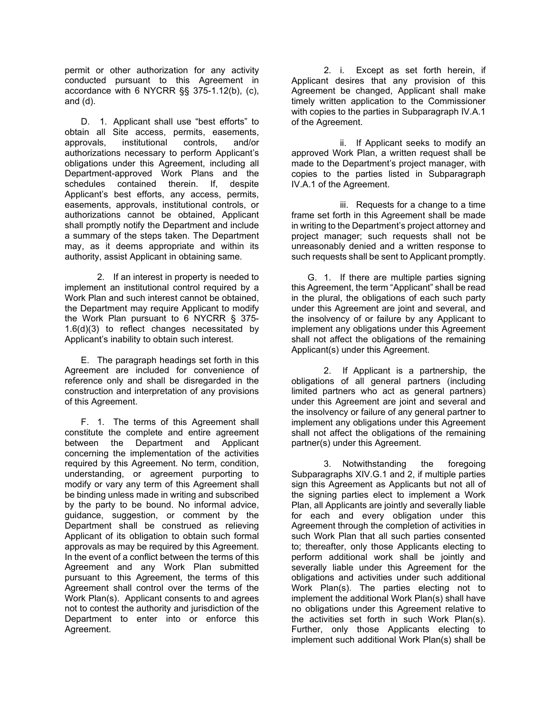permit or other authorization for any activity conducted pursuant to this Agreement in accordance with 6 NYCRR §§ 375-1.12(b), (c), and (d).

D. 1. Applicant shall use "best efforts" to obtain all Site access, permits, easements, approvals, institutional controls, and/or authorizations necessary to perform Applicant's obligations under this Agreement, including all Department-approved Work Plans and the schedules contained therein. If, despite Applicant's best efforts, any access, permits, easements, approvals, institutional controls, or authorizations cannot be obtained, Applicant shall promptly notify the Department and include a summary of the steps taken. The Department may, as it deems appropriate and within its authority, assist Applicant in obtaining same.

2. If an interest in property is needed to implement an institutional control required by a Work Plan and such interest cannot be obtained, the Department may require Applicant to modify the Work Plan pursuant to 6 NYCRR § 375- 1.6(d)(3) to reflect changes necessitated by Applicant's inability to obtain such interest.

E. The paragraph headings set forth in this Agreement are included for convenience of reference only and shall be disregarded in the construction and interpretation of any provisions of this Agreement.

F. 1. The terms of this Agreement shall constitute the complete and entire agreement between the Department and Applicant concerning the implementation of the activities required by this Agreement. No term, condition, understanding, or agreement purporting to modify or vary any term of this Agreement shall be binding unless made in writing and subscribed by the party to be bound. No informal advice, guidance, suggestion, or comment by the Department shall be construed as relieving Applicant of its obligation to obtain such formal approvals as may be required by this Agreement. In the event of a conflict between the terms of this Agreement and any Work Plan submitted pursuant to this Agreement, the terms of this Agreement shall control over the terms of the Work Plan(s). Applicant consents to and agrees not to contest the authority and jurisdiction of the Department to enter into or enforce this Agreement.

2. i. Except as set forth herein, if Applicant desires that any provision of this Agreement be changed, Applicant shall make timely written application to the Commissioner with copies to the parties in Subparagraph IV.A.1 of the Agreement.

ii. If Applicant seeks to modify an approved Work Plan, a written request shall be made to the Department's project manager, with copies to the parties listed in Subparagraph IV.A.1 of the Agreement.

iii. Requests for a change to a time frame set forth in this Agreement shall be made in writing to the Department's project attorney and project manager; such requests shall not be unreasonably denied and a written response to such requests shall be sent to Applicant promptly.

G. 1. If there are multiple parties signing this Agreement, the term "Applicant" shall be read in the plural, the obligations of each such party under this Agreement are joint and several, and the insolvency of or failure by any Applicant to implement any obligations under this Agreement shall not affect the obligations of the remaining Applicant(s) under this Agreement.

2. If Applicant is a partnership, the obligations of all general partners (including limited partners who act as general partners) under this Agreement are joint and several and the insolvency or failure of any general partner to implement any obligations under this Agreement shall not affect the obligations of the remaining partner(s) under this Agreement.

3. Notwithstanding the foregoing Subparagraphs XIV.G.1 and 2, if multiple parties sign this Agreement as Applicants but not all of the signing parties elect to implement a Work Plan, all Applicants are jointly and severally liable for each and every obligation under this Agreement through the completion of activities in such Work Plan that all such parties consented to; thereafter, only those Applicants electing to perform additional work shall be jointly and severally liable under this Agreement for the obligations and activities under such additional Work Plan(s). The parties electing not to implement the additional Work Plan(s) shall have no obligations under this Agreement relative to the activities set forth in such Work Plan(s). Further, only those Applicants electing to implement such additional Work Plan(s) shall be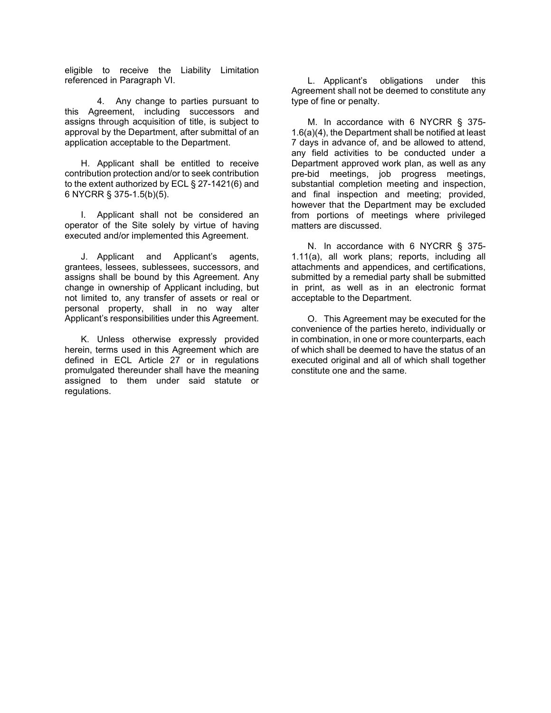eligible to receive the Liability Limitation referenced in Paragraph VI.

4. Any change to parties pursuant to this Agreement, including successors and assigns through acquisition of title, is subject to approval by the Department, after submittal of an application acceptable to the Department.

H. Applicant shall be entitled to receive contribution protection and/or to seek contribution to the extent authorized by ECL § 27-1421(6) and 6 NYCRR § 375-1.5(b)(5).

I. Applicant shall not be considered an operator of the Site solely by virtue of having executed and/or implemented this Agreement.

J. Applicant and Applicant's agents, grantees, lessees, sublessees, successors, and assigns shall be bound by this Agreement. Any change in ownership of Applicant including, but not limited to, any transfer of assets or real or personal property, shall in no way alter Applicant's responsibilities under this Agreement.

K. Unless otherwise expressly provided herein, terms used in this Agreement which are defined in ECL Article 27 or in regulations promulgated thereunder shall have the meaning assigned to them under said statute or regulations.

L. Applicant's obligations under this Agreement shall not be deemed to constitute any type of fine or penalty.

M. In accordance with 6 NYCRR § 375- 1.6(a)(4), the Department shall be notified at least 7 days in advance of, and be allowed to attend, any field activities to be conducted under a Department approved work plan, as well as any pre-bid meetings, job progress meetings, substantial completion meeting and inspection, and final inspection and meeting; provided, however that the Department may be excluded from portions of meetings where privileged matters are discussed.

N. In accordance with 6 NYCRR § 375- 1.11(a), all work plans; reports, including all attachments and appendices, and certifications, submitted by a remedial party shall be submitted in print, as well as in an electronic format acceptable to the Department.

O. This Agreement may be executed for the convenience of the parties hereto, individually or in combination, in one or more counterparts, each of which shall be deemed to have the status of an executed original and all of which shall together constitute one and the same.